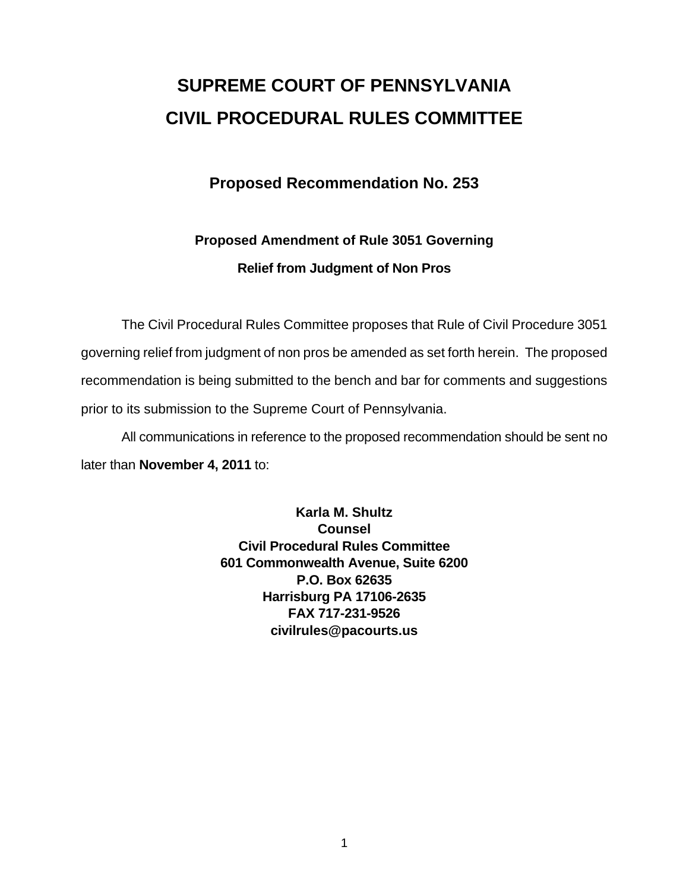# **SUPREME COURT OF PENNSYLVANIA CIVIL PROCEDURAL RULES COMMITTEE**

### **Proposed Recommendation No. 253**

## **Proposed Amendment of Rule 3051 Governing Relief from Judgment of Non Pros**

 The Civil Procedural Rules Committee proposes that Rule of Civil Procedure 3051 governing relief from judgment of non pros be amended as set forth herein. The proposed recommendation is being submitted to the bench and bar for comments and suggestions prior to its submission to the Supreme Court of Pennsylvania.

 All communications in reference to the proposed recommendation should be sent no later than **November 4, 2011** to:

> **Karla M. Shultz Counsel Civil Procedural Rules Committee 601 Commonwealth Avenue, Suite 6200 P.O. Box 62635 Harrisburg PA 17106-2635 FAX 717-231-9526 civilrules@pacourts.us**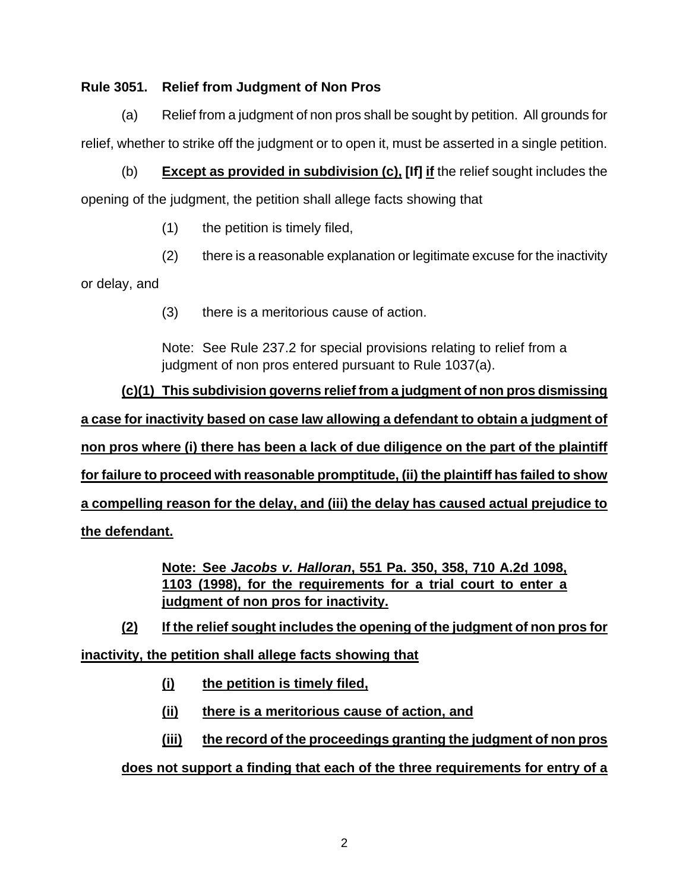#### **Rule 3051. Relief from Judgment of Non Pros**

 (a) Relief from a judgment of non pros shall be sought by petition. All grounds for relief, whether to strike off the judgment or to open it, must be asserted in a single petition.

 (b) **Except as provided in subdivision (c), [If] if** the relief sought includes the opening of the judgment, the petition shall allege facts showing that

- (1) the petition is timely filed,
- (2) there is a reasonable explanation or legitimate excuse for the inactivity

or delay, and

(3) there is a meritorious cause of action.

Note: See Rule 237.2 for special provisions relating to relief from a judgment of non pros entered pursuant to Rule 1037(a).

**(c)(1) This subdivision governs relief from a judgment of non pros dismissing a case for inactivity based on case law allowing a defendant to obtain a judgment of non pros where (i) there has been a lack of due diligence on the part of the plaintiff for failure to proceed with reasonable promptitude, (ii) the plaintiff has failed to show a compelling reason for the delay, and (iii) the delay has caused actual prejudice to the defendant.**

> **Note: See** *Jacobs v. Halloran***, 551 Pa. 350, 358, 710 A.2d 1098, 1103 (1998), for the requirements for a trial court to enter a judgment of non pros for inactivity.**

**(2) If the relief sought includes the opening of the judgment of non pros for inactivity, the petition shall allege facts showing that**

- **(i) the petition is timely filed,**
- **(ii) there is a meritorious cause of action, and**
- **(iii) the record of the proceedings granting the judgment of non pros**

#### **does not support a finding that each of the three requirements for entry of a**